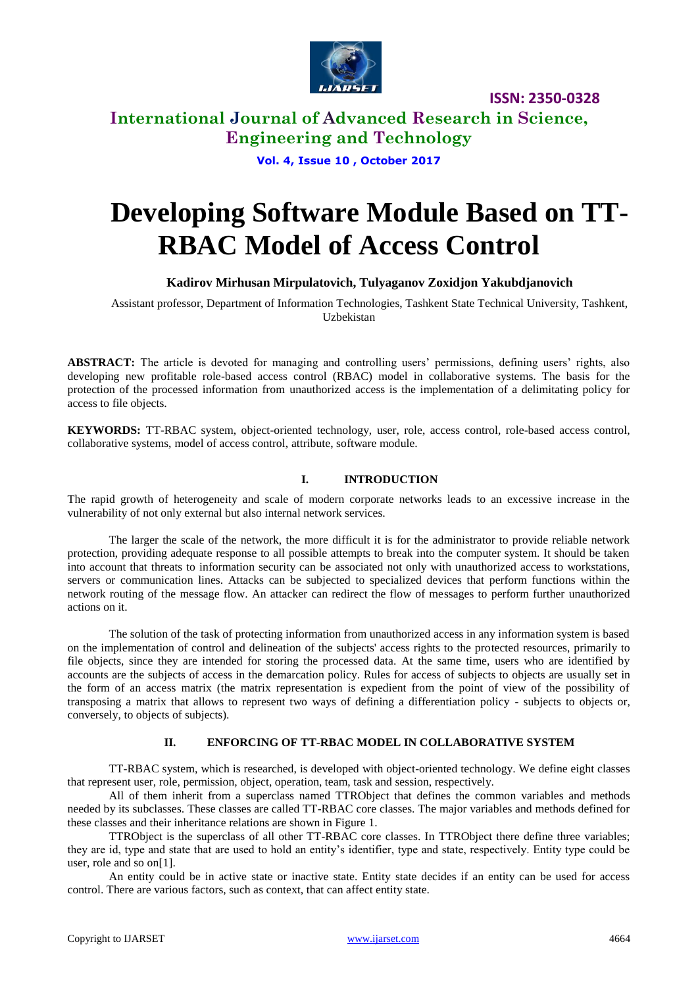

## **International Journal of Advanced Research in Science, Engineering and Technology**

**Vol. 4, Issue 10 , October 2017**

# **Developing Software Module Based on TT-RBAC Model of Access Control**

### **Kadirov Mirhusan Mirpulatovich, Tulyaganov Zoxidjon Yakubdjanovich**

Assistant professor, Department of Information Technologies, Tashkent State Technical University, Tashkent, Uzbekistan

**ABSTRACT:** The article is devoted for managing and controlling users' permissions, defining users' rights, also developing new profitable role-based access control (RBAC) model in collaborative systems. The basis for the protection of the processed information from unauthorized access is the implementation of a delimitating policy for access to file objects.

**KEYWORDS:** TT-RBAC system, object-oriented technology, user, role, access control, role-based access control, collaborative systems, model of access control, attribute, software module.

#### **I. INTRODUCTION**

The rapid growth of heterogeneity and scale of modern corporate networks leads to an excessive increase in the vulnerability of not only external but also internal network services.

The larger the scale of the network, the more difficult it is for the administrator to provide reliable network protection, providing adequate response to all possible attempts to break into the computer system. It should be taken into account that threats to information security can be associated not only with unauthorized access to workstations, servers or communication lines. Attacks can be subjected to specialized devices that perform functions within the network routing of the message flow. An attacker can redirect the flow of messages to perform further unauthorized actions on it.

The solution of the task of protecting information from unauthorized access in any information system is based on the implementation of control and delineation of the subjects' access rights to the protected resources, primarily to file objects, since they are intended for storing the processed data. At the same time, users who are identified by accounts are the subjects of access in the demarcation policy. Rules for access of subjects to objects are usually set in the form of an access matrix (the matrix representation is expedient from the point of view of the possibility of transposing a matrix that allows to represent two ways of defining a differentiation policy - subjects to objects or, conversely, to objects of subjects).

#### **II. ENFORCING OF TT-RBAC MODEL IN COLLABORATIVE SYSTEM**

TT-RBAC system, which is researched, is developed with object-oriented technology. We define eight classes that represent user, role, permission, object, operation, team, task and session, respectively.

All of them inherit from a superclass named TTRObject that defines the common variables and methods needed by its subclasses. These classes are called TT-RBAC core classes. The major variables and methods defined for these classes and their inheritance relations are shown in Figure 1.

TTRObject is the superclass of all other TT-RBAC core classes. In TTRObject there define three variables; they are id, type and state that are used to hold an entity's identifier, type and state, respectively. Entity type could be user, role and so on[1].

An entity could be in active state or inactive state. Entity state decides if an entity can be used for access control. There are various factors, such as context, that can affect entity state.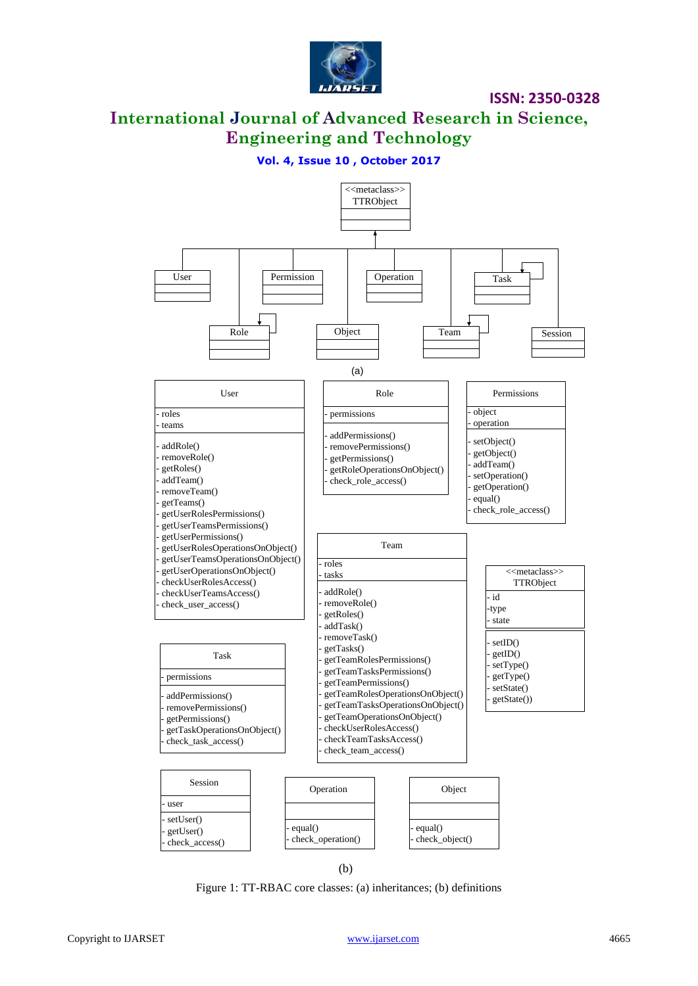

**International Journal of Advanced Research in Science, Engineering and Technology**

### **Vol. 4, Issue 10 , October 2017**



Figure 1: TT-RBAC core classes: (a) inheritances; (b) definitions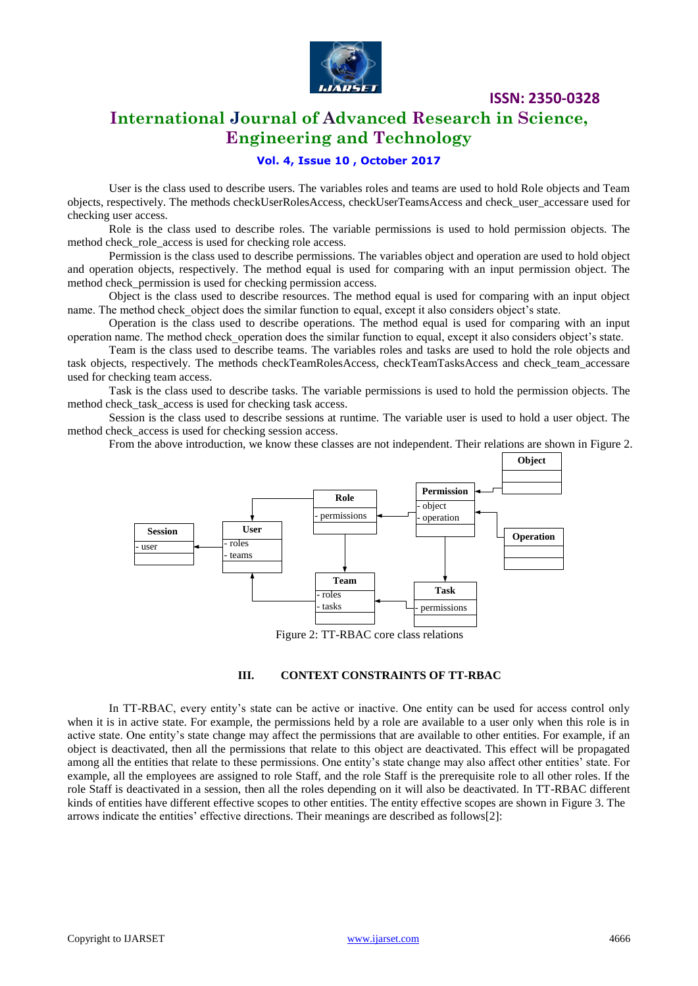

# **International Journal of Advanced Research in Science, Engineering and Technology**

### **Vol. 4, Issue 10 , October 2017**

User is the class used to describe users. The variables roles and teams are used to hold Role objects and Team objects, respectively. The methods checkUserRolesAccess, checkUserTeamsAccess and check\_user\_accessare used for checking user access.

Role is the class used to describe roles. The variable permissions is used to hold permission objects. The method check role access is used for checking role access.

Permission is the class used to describe permissions. The variables object and operation are used to hold object and operation objects, respectively. The method equal is used for comparing with an input permission object. The method check permission is used for checking permission access.

Object is the class used to describe resources. The method equal is used for comparing with an input object name. The method check object does the similar function to equal, except it also considers object's state.

Operation is the class used to describe operations. The method equal is used for comparing with an input operation name. The method check\_operation does the similar function to equal, except it also considers object's state.

Team is the class used to describe teams. The variables roles and tasks are used to hold the role objects and task objects, respectively. The methods checkTeamRolesAccess, checkTeamTasksAccess and check team accessare used for checking team access.

Task is the class used to describe tasks. The variable permissions is used to hold the permission objects. The method check task access is used for checking task access.

Session is the class used to describe sessions at runtime. The variable user is used to hold a user object. The method check access is used for checking session access.

From the above introduction, we know these classes are not independent. Their relations are shown in Figure 2.



#### **III. CONTEXT CONSTRAINTS OF TT-RBAC**

In TT-RBAC, every entity's state can be active or inactive. One entity can be used for access control only when it is in active state. For example, the permissions held by a role are available to a user only when this role is in active state. One entity's state change may affect the permissions that are available to other entities. For example, if an object is deactivated, then all the permissions that relate to this object are deactivated. This effect will be propagated among all the entities that relate to these permissions. One entity's state change may also affect other entities' state. For example, all the employees are assigned to role Staff, and the role Staff is the prerequisite role to all other roles. If the role Staff is deactivated in a session, then all the roles depending on it will also be deactivated. In TT-RBAC different kinds of entities have different effective scopes to other entities. The entity effective scopes are shown in Figure 3. The arrows indicate the entities' effective directions. Their meanings are described as follows[2]: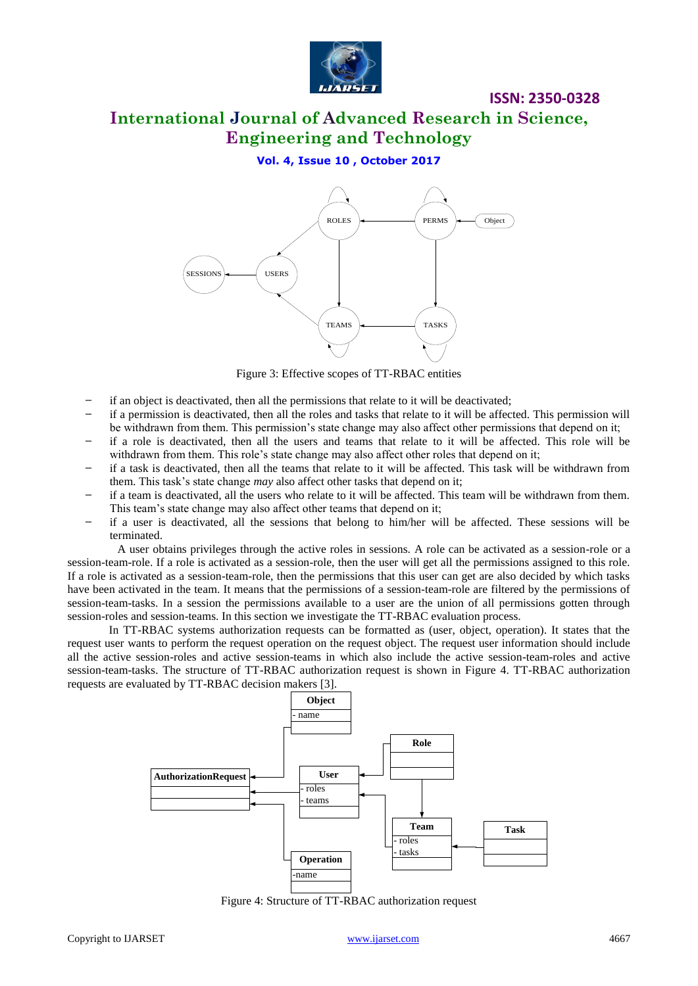

# **International Journal of Advanced Research in Science, Engineering and Technology**

**Vol. 4, Issue 10 , October 2017**



Figure 3: Effective scopes of TT-RBAC entities

- ̶ if an object is deactivated, then all the permissions that relate to it will be deactivated;
- ̶ if a permission is deactivated, then all the roles and tasks that relate to it will be affected. This permission will be withdrawn from them. This permission's state change may also affect other permissions that depend on it;
- ̶ if a role is deactivated, then all the users and teams that relate to it will be affected. This role will be withdrawn from them. This role's state change may also affect other roles that depend on it;
- ̶ if a task is deactivated, then all the teams that relate to it will be affected. This task will be withdrawn from them. This task's state change *may* also affect other tasks that depend on it;
- ̶ if a team is deactivated, all the users who relate to it will be affected. This team will be withdrawn from them. This team's state change may also affect other teams that depend on it;
- ̶ if a user is deactivated, all the sessions that belong to him/her will be affected. These sessions will be terminated.

A user obtains privileges through the active roles in sessions. A role can be activated as a session-role or a session-team-role. If a role is activated as a session-role, then the user will get all the permissions assigned to this role. If a role is activated as a session-team-role, then the permissions that this user can get are also decided by which tasks have been activated in the team. It means that the permissions of a session-team-role are filtered by the permissions of session-team-tasks. In a session the permissions available to a user are the union of all permissions gotten through session-roles and session-teams. In this section we investigate the TT-RBAC evaluation process.

In TT-RBAC systems authorization requests can be formatted as (user, object, operation). It states that the request user wants to perform the request operation on the request object. The request user information should include all the active session-roles and active session-teams in which also include the active session-team-roles and active session-team-tasks. The structure of TT-RBAC authorization request is shown in Figure 4. TT-RBAC authorization requests are evaluated by TT-RBAC decision makers [3].



Figure 4: Structure of TT-RBAC authorization request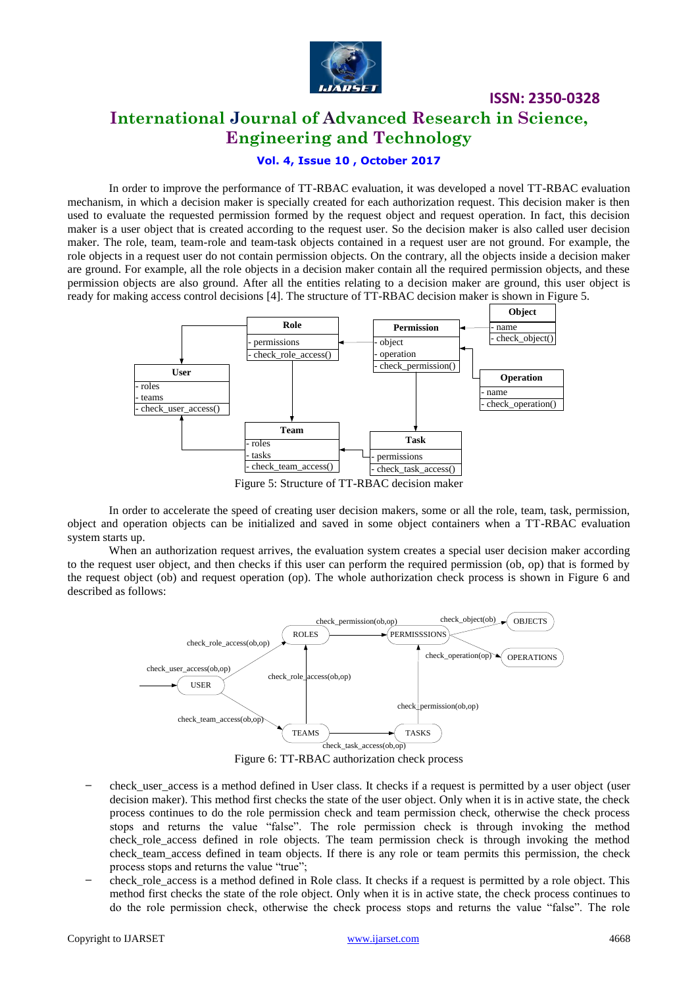

**International Journal of Advanced Research in Science, Engineering and Technology**

#### **Vol. 4, Issue 10 , October 2017**

In order to improve the performance of TT-RBAC evaluation, it was developed a novel TT-RBAC evaluation mechanism, in which a decision maker is specially created for each authorization request. This decision maker is then used to evaluate the requested permission formed by the request object and request operation. In fact, this decision maker is a user object that is created according to the request user. So the decision maker is also called user decision maker. The role, team, team-role and team-task objects contained in a request user are not ground. For example, the role objects in a request user do not contain permission objects. On the contrary, all the objects inside a decision maker are ground. For example, all the role objects in a decision maker contain all the required permission objects, and these permission objects are also ground. After all the entities relating to a decision maker are ground, this user object is ready for making access control decisions [4]. The structure of TT-RBAC decision maker is shown in Figure 5.



In order to accelerate the speed of creating user decision makers, some or all the role, team, task, permission, object and operation objects can be initialized and saved in some object containers when a TT-RBAC evaluation system starts up.

When an authorization request arrives, the evaluation system creates a special user decision maker according to the request user object, and then checks if this user can perform the required permission (ob, op) that is formed by the request object (ob) and request operation (op). The whole authorization check process is shown in Figure 6 and described as follows:



Figure 6: TT-RBAC authorization check process

- ̶ check\_user\_access is a method defined in User class. It checks if a request is permitted by a user object (user decision maker). This method first checks the state of the user object. Only when it is in active state, the check process continues to do the role permission check and team permission check, otherwise the check process stops and returns the value "false". The role permission check is through invoking the method check role access defined in role objects. The team permission check is through invoking the method check team access defined in team objects. If there is any role or team permits this permission, the check process stops and returns the value "true";
- check role access is a method defined in Role class. It checks if a request is permitted by a role object. This method first checks the state of the role object. Only when it is in active state, the check process continues to do the role permission check, otherwise the check process stops and returns the value "false". The role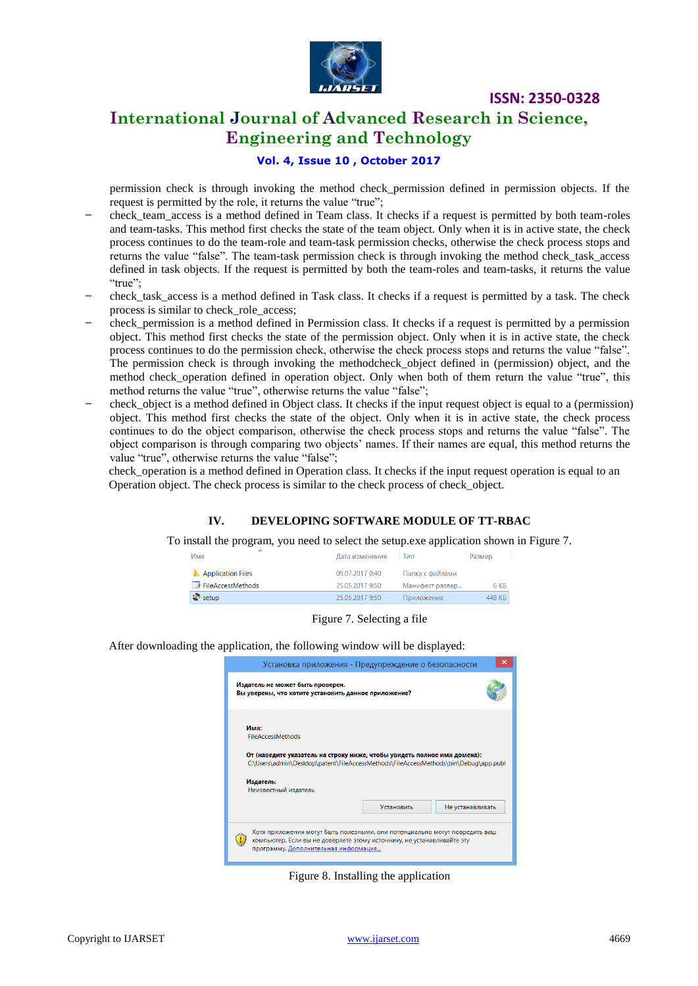

# **International Journal of Advanced Research in Science, Engineering and Technology**

### **Vol. 4, Issue 10 , October 2017**

permission check is through invoking the method check\_permission defined in permission objects. If the request is permitted by the role, it returns the value "true";

- ̶ check\_team\_access is a method defined in Team class. It checks if a request is permitted by both team-roles and team-tasks. This method first checks the state of the team object. Only when it is in active state, the check process continues to do the team-role and team-task permission checks, otherwise the check process stops and returns the value "false". The team-task permission check is through invoking the method check\_task\_access defined in task objects. If the request is permitted by both the team-roles and team-tasks, it returns the value "true";
- ̶ check\_task\_access is a method defined in Task class. It checks if a request is permitted by a task. The check process is similar to check\_role\_access;
- ̶ check\_permission is a method defined in Permission class. It checks if a request is permitted by a permission object. This method first checks the state of the permission object. Only when it is in active state, the check process continues to do the permission check, otherwise the check process stops and returns the value "false". The permission check is through invoking the methodcheck\_object defined in (permission) object, and the method check\_operation defined in operation object. Only when both of them return the value "true", this method returns the value "true", otherwise returns the value "false";
- ̶ check\_object is a method defined in Object class. It checks if the input request object is equal to a (permission) object. This method first checks the state of the object. Only when it is in active state, the check process continues to do the object comparison, otherwise the check process stops and returns the value "false". The object comparison is through comparing two objects' names. If their names are equal, this method returns the value "true", otherwise returns the value "false";

check\_operation is a method defined in Operation class. It checks if the input request operation is equal to an Operation object. The check process is similar to the check process of check\_object.

#### **IV. DEVELOPING SOFTWARE MODULE OF TT-RBAC**

To install the program, you need to select the setup.exe application shown in Figure 7.

| Имя                      | Дата изменения  | Тип             | Размер             |
|--------------------------|-----------------|-----------------|--------------------|
| <b>Application Files</b> | 09.07.2017 0:40 | Папка с файлами |                    |
| FileAccessMethods        | 25.05.2017 9:50 | Манифест развер | 6 K <sub>B</sub>   |
| $\frac{1}{2}$ setup      | 25.05.2017 9:50 | Приложение      | 448 K <sub>B</sub> |
|                          |                 |                 |                    |

Figure 7. Selecting a file

After downloading the application, the following window will be displayed:



Figure 8. Installing the application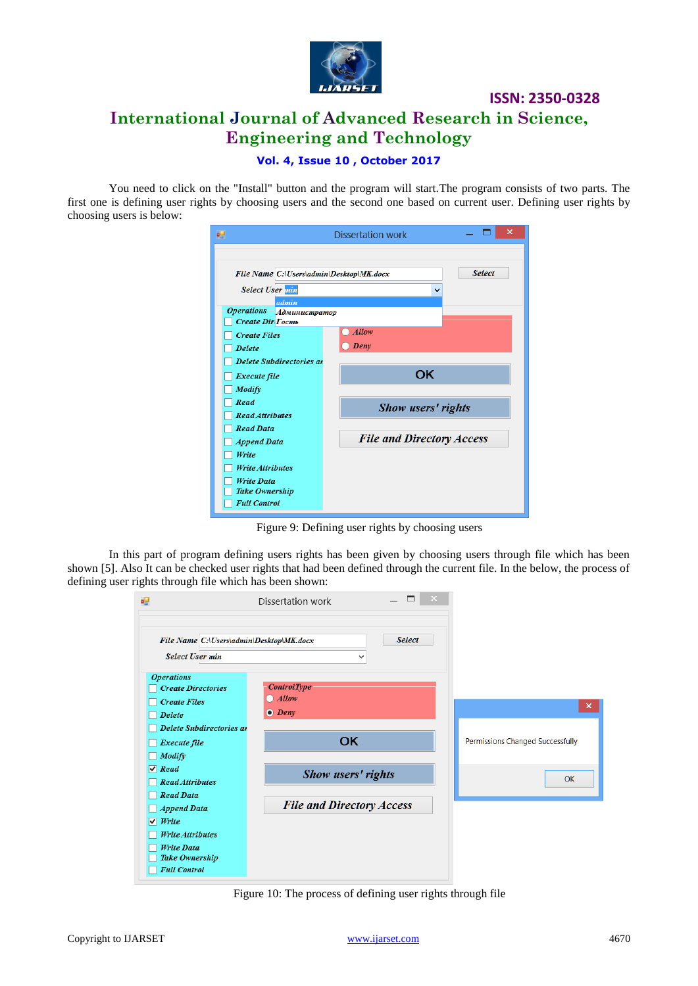

# **International Journal of Advanced Research in Science, Engineering and Technology**

### **Vol. 4, Issue 10 , October 2017**

You need to click on the "Install" button and the program will start.The program consists of two parts. The first one is defining user rights by choosing users and the second one based on current user. Defining user rights by choosing users is below:

| øΞ                                                                                                                                                                                                                      | <b>Dissertation work</b>         | ×             |
|-------------------------------------------------------------------------------------------------------------------------------------------------------------------------------------------------------------------------|----------------------------------|---------------|
| File Name C:\Users\admin\Desktop\MK.docx<br><b>Select User</b> min<br>admin<br><b>Operations</b><br><b>Администратор</b><br>Create Dir Tocmb<br><b>Create Files</b><br><b>Delete</b><br><b>Delete Subdirectories at</b> | v<br><b>Allow</b><br>Deny        | <b>Select</b> |
| Execute file<br>Modify<br>Read<br><b>Read Attributes</b><br><b>Read Data</b>                                                                                                                                            | <b>OK</b><br>Show users' rights  |               |
| <b>Append Data</b><br>Write<br><b>Write Attributes</b><br><b>Write Data</b><br><b>Take Ownership</b><br><b>Full Control</b>                                                                                             | <b>File and Directory Access</b> |               |

Figure 9: Defining user rights by choosing users

In this part of program defining users rights has been given by choosing users through file which has been shown [5]. Also It can be checked user rights that had been defined through the current file. In the below, the process of defining user rights through file which has been shown:

| ag.                                             | □<br>Dissertation work           | ×                                       |
|-------------------------------------------------|----------------------------------|-----------------------------------------|
| File Name C:\Users\admin\Desktop\MK.docx        | <b>Select</b>                    |                                         |
| <b>Select User min</b>                          | $\checkmark$                     |                                         |
| <b>Operations</b><br><b>Create Directories</b>  | <b>ControlType</b>               |                                         |
| <b>Create Files</b><br><b>Delete</b>            | $\bigcap$ Allow<br>O Deny        | $\mathsf{x}$                            |
| Delete Subdirectories at<br><b>Execute file</b> | <b>OK</b>                        | <b>Permissions Changed Successfully</b> |
| Modify<br>$\sqrt{Read}$                         | Show users' rights               |                                         |
| <b>Read Attributes</b><br><b>Read Data</b>      |                                  | <b>OK</b>                               |
| <b>Append Data</b><br>$\vee$ Write              | <b>File and Directory Access</b> |                                         |
| <b>Write Attributes</b><br><b>Write Data</b>    |                                  |                                         |
| Take Ownership<br><b>Full Control</b>           |                                  |                                         |

Figure 10: The process of defining user rights through file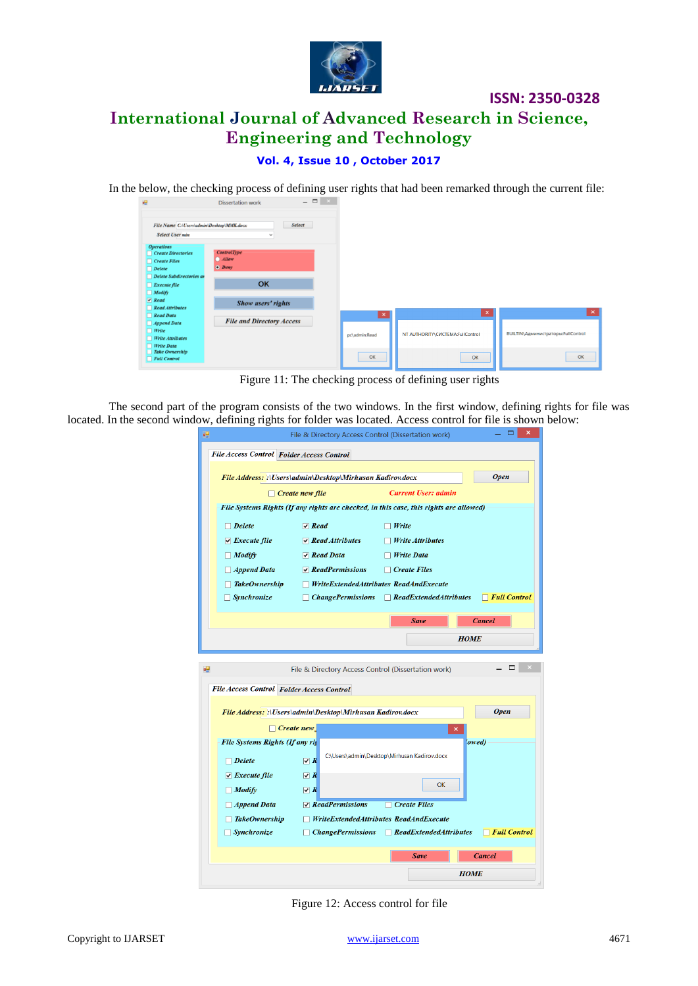

# **International Journal of Advanced Research in Science, Engineering and Technology**

**ISSN: 2350-0328**

### **Vol. 4, Issue 10 , October 2017**

In the below, the checking process of defining user rights that had been remarked through the current file:

|                                            | <b>DISSELTATION MOTE</b>         |               |                                  |                                           |
|--------------------------------------------|----------------------------------|---------------|----------------------------------|-------------------------------------------|
| File Name C:\Users\admin\Desktop\MMK.docx  | <b>Select</b>                    |               |                                  |                                           |
|                                            |                                  |               |                                  |                                           |
| <b>Select User min</b>                     | $\checkmark$                     |               |                                  |                                           |
| <b>Operations</b>                          |                                  |               |                                  |                                           |
| $\Box$ Create Directories                  | <b>ControlType</b>               |               |                                  |                                           |
| $\Box$ Create Files                        | <b>Allow</b>                     |               |                                  |                                           |
| $\Box$ Delete                              | $\n  Deny\n$                     |               |                                  |                                           |
| $\Box$ Delete Subdirectories as            |                                  |               |                                  |                                           |
| $\Box$ Execute file                        | OK                               |               |                                  |                                           |
| <b>Modify</b>                              |                                  |               |                                  |                                           |
| $\sqrt{Read}$                              |                                  |               |                                  |                                           |
| $\Box$ Read Attributes                     | <b>Show users' rights</b>        |               |                                  |                                           |
| $\Box$ Read Data                           |                                  | $\mathbf{x}$  | $\boldsymbol{\times}$            |                                           |
| $\Box$ Append Data                         | <b>File and Directory Access</b> |               |                                  |                                           |
|                                            |                                  |               |                                  |                                           |
| $\Box$ Write                               |                                  | pc\admin:Read | NT AUTHORITY\CICTEMA:FullControl | <b>BUILTIN\Администраторы:FullControl</b> |
| $\Box$ Write Attributes                    |                                  |               |                                  |                                           |
| $\Box$ Write Data<br><b>Take Ownership</b> |                                  |               |                                  |                                           |
| $\Box$ Full Control                        |                                  | OK            | OK                               |                                           |
|                                            |                                  |               |                                  |                                           |

Figure 11: The checking process of defining user rights

The second part of the program consists of the two windows. In the first window, defining rights for file was located. In the second window, defining rights for folder was located. Access control for file is shown below:

| ×<br>File & Directory Access Control (Dissertation work)                 |                                                           |                                                                                        |                     |
|--------------------------------------------------------------------------|-----------------------------------------------------------|----------------------------------------------------------------------------------------|---------------------|
|                                                                          | File Access Control Folder Access Control                 |                                                                                        |                     |
|                                                                          |                                                           |                                                                                        |                     |
| <b>Open</b><br>File Address: :\Users\admin\Desktop\Mirhusan Kadirov.docx |                                                           |                                                                                        |                     |
|                                                                          | $\Box$ Create new file                                    | <b>Current User: admin</b>                                                             |                     |
|                                                                          |                                                           | File Systems Rights (If any rights are checked, in this case, this rights are allowed) |                     |
| $\Box$ Delete                                                            | $\triangledown$ Read                                      | $\Box$ Write                                                                           |                     |
| $\vee$ Execute file                                                      | $\sqrt{R}$ Read Attributes                                | <b>Write Attributes</b>                                                                |                     |
| $\Box$ Modify                                                            | $\sqrt{R}$ Read Data                                      | $\Box$ Write Data                                                                      |                     |
| $\Box$ Append Data                                                       | $\triangledown$ ReadPermissions                           | $\Box$ Create Files                                                                    |                     |
| <b>TakeOwnership</b>                                                     |                                                           | $\Box$ WriteExtendedAttributes ReadAndExecute                                          |                     |
| Synchronize                                                              |                                                           | $\Box$ ChangePermissions $\Box$ ReadExtendedAttributes                                 | $\Box$ Full Control |
|                                                                          |                                                           | <b>Save</b>                                                                            | <b>Cancel</b>       |
|                                                                          |                                                           |                                                                                        |                     |
|                                                                          |                                                           |                                                                                        |                     |
|                                                                          |                                                           | <b>HOME</b>                                                                            |                     |
|                                                                          |                                                           |                                                                                        |                     |
|                                                                          |                                                           | File & Directory Access Control (Dissertation work)                                    | ▭                   |
|                                                                          | File Access Control Folder Access Control                 |                                                                                        |                     |
|                                                                          |                                                           |                                                                                        |                     |
|                                                                          | File Address: :\Users\admin\Desktop\Mirhusan Kadirov.docx |                                                                                        | <b>Open</b>         |
|                                                                          | $\Box$ Create new                                         | ×                                                                                      |                     |
| File Systems Rights (If any ris                                          |                                                           |                                                                                        | lowed)              |
| $\Box$ Delete                                                            | $\vee R$                                                  | C:\Users\admin\Desktop\Mirhusan Kadirov.docx                                           |                     |
| $\vee$ Execute file                                                      | $\triangleright R$                                        |                                                                                        |                     |
| $\Box$ Modify                                                            | $\nabla R$                                                | OK                                                                                     |                     |
| $\Box$ Append Data                                                       | $\vee$ ReadPermissions                                    | $\Box$ Create Files                                                                    |                     |
| <b>TakeOwnership</b>                                                     |                                                           | $\Box$ WriteExtendedAttributes ReadAndExecute                                          |                     |
| $\sqrt{S}$ <i>Synchronize</i>                                            |                                                           | $\Box$ ChangePermissions $\Box$ ReadExtendedAttributes                                 | $\top$ Full Control |
|                                                                          |                                                           | <b>Save</b>                                                                            | <b>Cancel</b>       |
|                                                                          |                                                           | <b>HOME</b>                                                                            |                     |

Figure 12: Access control for file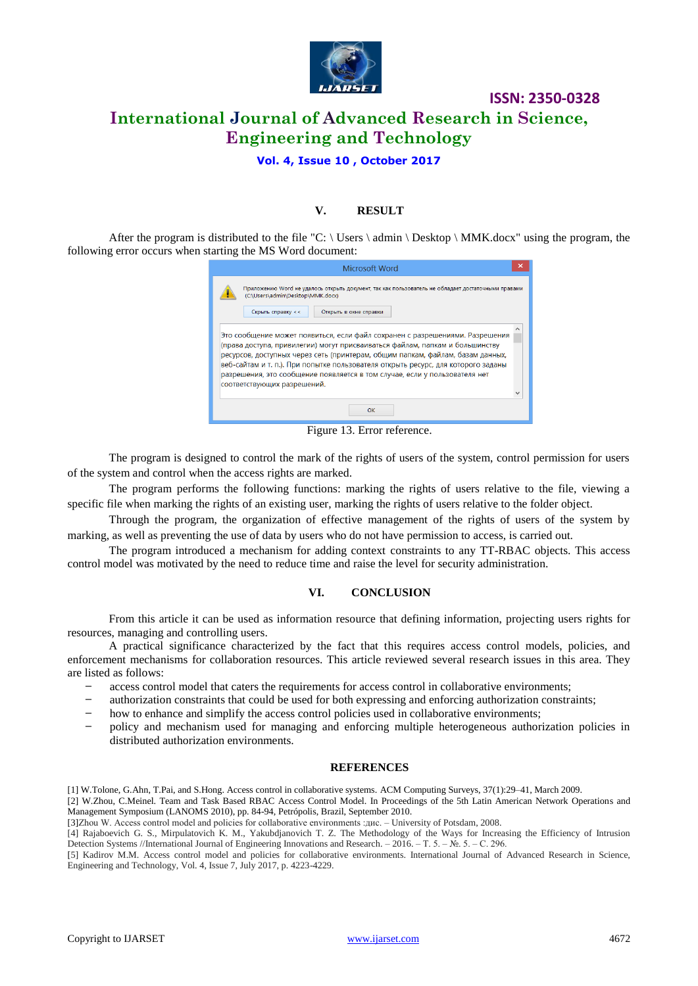

# **ISSN: 2350-0328 International Journal of Advanced Research in Science, Engineering and Technology**

**Vol. 4, Issue 10 , October 2017**

### **V. RESULT**

After the program is distributed to the file "C:  $\text{Users} \text{ admin} \text{Desktop} \text{MMK.docx}$ " using the program, the following error occurs when starting the MS Word document:

| Microsoft Word                                                                                                                                                                                                                                                                                                                                                                                                                                   |  |  |
|--------------------------------------------------------------------------------------------------------------------------------------------------------------------------------------------------------------------------------------------------------------------------------------------------------------------------------------------------------------------------------------------------------------------------------------------------|--|--|
| Приложению Word не удалось открыть документ, так как пользователь не обладает достаточными правами<br>(C:\Users\admin\Desktop\MMK.docx)<br>Скрыть справку <<<br>Открыть в окне справки                                                                                                                                                                                                                                                           |  |  |
| Это сообщение может появиться, если файл сохранен с разрешениями. Разрешения<br>(права доступа, привилегии) могут присваиваться файлам, папкам и большинству<br>ресурсов, доступных через сеть (принтерам, общим папкам, файлам, базам данных,<br>веб-сайтам и т. п.). При попытке пользователя открыть ресурс, для которого заданы<br>разрешения, это сообщение появляется в том случае, если у пользователя нет<br>соответствующих разрешений. |  |  |
| OK                                                                                                                                                                                                                                                                                                                                                                                                                                               |  |  |

Figure 13. Error reference.

The program is designed to control the mark of the rights of users of the system, control permission for users of the system and control when the access rights are marked.

The program performs the following functions: marking the rights of users relative to the file, viewing a specific file when marking the rights of an existing user, marking the rights of users relative to the folder object.

Through the program, the organization of effective management of the rights of users of the system by marking, as well as preventing the use of data by users who do not have permission to access, is carried out.

The program introduced a mechanism for adding context constraints to any TT-RBAC objects. This access control model was motivated by the need to reduce time and raise the level for security administration.

#### **VI. CONCLUSION**

From this article it can be used as information resource that defining information, projecting users rights for resources, managing and controlling users.

A practical significance characterized by the fact that this requires access control models, policies, and enforcement mechanisms for collaboration resources. This article reviewed several research issues in this area. They are listed as follows:

- ̶ access control model that caters the requirements for access control in collaborative environments;
- ̶ authorization constraints that could be used for both expressing and enforcing authorization constraints;
- ̶ how to enhance and simplify the access control policies used in collaborative environments;
- ̶ policy and mechanism used for managing and enforcing multiple heterogeneous authorization policies in distributed authorization environments.

#### **REFERENCES**

[1] W.Tolone, G.Ahn, T.Pai, and S.Hong. Access control in collaborative systems. ACM Computing Surveys, 37(1):29–41, March 2009.

[2] W.Zhou, C.Meinel. Team and Task Based RBAC Access Control Model. In Proceedings of the 5th Latin American Network Operations and Management Symposium (LANOMS 2010), pp. 84-94, Petrópolis, Brazil, September 2010.

[3]Zhou W. Access control model and policies for collaborative environments :дис. – University of Potsdam, 2008.

[4] Rajaboevich G. S., Mirpulatovich K. M., Yakubdjanovich T. Z. The Methodology of the Ways for Increasing the Efficiency of Intrusion Detection Systems //International Journal of Engineering Innovations and Research. – 2016. – Т. 5. – №. 5. – С. 296.

[5] Kadirov M.M. Access control model and policies for collaborative environments. International Journal of Advanced Research in Science, Engineering and Technology, Vol. 4, Issue 7, July 2017, p. 4223-4229.